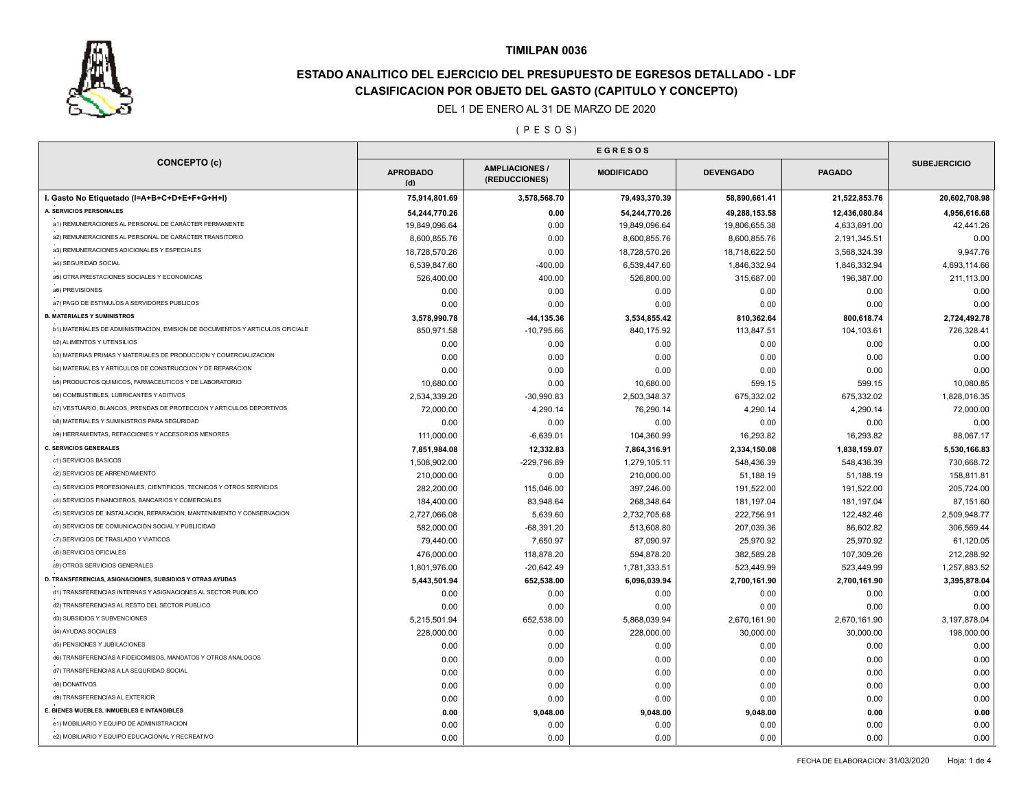

# **ESTADO ANALITICO DEL EJERCICIO DEL PRESUPUESTO DE EGRESOS DETALLADO - LDF CLASIFICACION POR OBJETO DEL GASTO (CAPITULO Y CONCEPTO)**

### DEL 1 DE ENERO AL 31 DE MARZO DE 2020

#### ( P E S O S )

| <b>CONCEPTO (c)</b>                                                          | <b>APROBADO</b><br>(d) | <b>AMPLIACIONES</b><br>(REDUCCIONES) | <b>MODIFICADO</b> |               | <b>PAGADO</b> | <b>SUBEJERCICIO</b> |
|------------------------------------------------------------------------------|------------------------|--------------------------------------|-------------------|---------------|---------------|---------------------|
| I. Gasto No Etiquetado (I=A+B+C+D+E+F+G+H+I)                                 | 75,914,801.69          | 3,578,568.70                         | 79,493,370.39     | 58,890,661.41 | 21,522,853.76 | 20,602,708.98       |
| A. SERVICIOS PERSONALES                                                      | 54,244,770.26          | 0.00                                 | 54,244,770.26     | 49,288,153.58 | 12,436,080.84 | 4,956,616.68        |
| a1) REMUNERACIONES AL PERSONAL DE CARÁCTER PERMANENTE                        | 19,849,096.64          | 0.00                                 | 19,849,096.64     | 19,806,655.38 | 4,633,691.00  | 42,441.26           |
| a2) REMUNERACIONES AL PERSONAL DE CARÁCTER TRANSITORIO                       | 8,600,855.76           | 0.00                                 | 8,600,855.76      | 8,600,855.76  | 2,191,345.51  | 0.00                |
| a3) REMUNERACIONES ADICIONALES Y ESPECIALES                                  | 18,728,570.26          | 0.00                                 | 18,728,570.26     | 18,718,622.50 | 3,568,324.39  | 9,947.76            |
| a4) SEGURIDAD SOCIAL                                                         | 6,539,847.60           | $-400.00$                            | 6,539,447.60      | 1,846,332.94  | 1,846,332.94  | 4,693,114.66        |
| a5) OTRA PRESTACIONES SOCIALES Y ECONOMICAS                                  | 526,400.00             | 400.00                               | 526,800.00        | 315,687.00    | 196,387.00    | 211,113.00          |
| a6) PREVISIONES                                                              | 0.00                   | 0.00                                 | 0.00              | 0.00          | 0.00          | 0.00                |
| a7) PAGO DE ESTIMULOS A SERVIDORES PUBLICOS                                  | 0.00                   | 0.00                                 | 0.00              | 0.00          | 0.00          | 0.00                |
| <b>B. MATERIALES Y SUMINISTROS</b>                                           | 3,578,990.78           | -44,135.36                           | 3,534,855.42      | 810,362.64    | 800,618.74    | 2,724,492.78        |
| b1) MATERIALES DE ADMINISTRACION, EMISION DE DOCUMENTOS Y ARTICULOS OFICIALE | 850,971.58             | $-10,795.66$                         | 840,175.92        | 113,847.51    | 104,103.61    | 726,328.41          |
| b2) ALIMENTOS Y UTENSILIOS                                                   | 0.00                   | 0.00                                 | 0.00              | 0.00          | 0.00          | 0.00                |
| b3) MATERIAS PRIMAS Y MATERIALES DE PRODUCCION Y COMERCIALIZACION            | 0.00                   | 0.00                                 | 0.00              | 0.00          | 0.00          | 0.00                |
| b4) MATERIALES Y ARTICULOS DE CONSTRUCCION Y DE REPARACION                   | 0.00                   | 0.00                                 | 0.00              | 0.00          | 0.00          | 0.00                |
| b5) PRODUCTOS QUIMICOS, FARMACEUTICOS Y DE LABORATORIO                       | 10,680.00              | 0.00                                 | 10,680.00         | 599.15        | 599.15        | 10,080.85           |
| <b>b6) COMBUSTIBLES, LUBRICANTES Y ADITIVOS</b>                              | 2,534,339.20           | $-30,990.83$                         | 2,503,348.37      | 675,332.02    | 675,332.02    | 1,828,016.35        |
| b7) VESTUARIO, BLANCOS, PRENDAS DE PROTECCION Y ARTICULOS DEPORTIVOS         | 72,000.00              | 4,290.14                             | 76,290.14         | 4,290.14      | 4,290.14      | 72,000.00           |
| <b>b8) MATERIALES Y SUMINISTROS PARA SEGURIDAD</b>                           | 0.00                   | 0.00                                 | 0.00              | 0.00          | 0.00          | 0.00                |
| b9) HERRAMIENTAS, REFACCIONES Y ACCESORIOS MENORES                           | 111,000.00             | $-6,639.01$                          | 104,360.99        | 16,293.82     | 16,293.82     | 88,067.17           |
| <b>C. SERVICIOS GENERALES</b>                                                | 7,851,984.08           | 12,332.83                            | 7,864,316.91      | 2,334,150.08  | 1,838,159.07  | 5,530,166.83        |
| c1) SERVICIOS BASICOS                                                        | 1,508,902.00           | -229,796.89                          | 1,279,105.11      | 548,436.39    | 548,436.39    | 730,668.72          |
| c2) SERVICIOS DE ARRENDAMIENTO                                               | 210,000.00             | 0.00                                 | 210,000.00        | 51,188.19     | 51,188.19     | 158,811.81          |
| c3) SERVICIOS PROFESIONALES, CIENTIFICOS, TECNICOS Y OTROS SERVICIOS         | 282,200.00             | 115,046.00                           | 397,246.00        | 191,522.00    | 191,522.00    | 205,724.00          |
| c4) SERVICIOS FINANCIEROS, BANCARIOS Y COMERCIALES                           | 184,400.00             | 83,948.64                            | 268,348.64        | 181, 197.04   | 181,197.04    | 87,151.60           |
| c5) SERVICIOS DE INSTALACION, REPARACION, MANTENIMIENTO Y CONSERVACION       | 2,727,066.08           | 5,639.60                             | 2,732,705.68      | 222,756.91    | 122,482.46    | 2,509,948.77        |
| c6) SERVICIOS DE COMUNICACIÓN SOCIAL Y PUBLICIDAD                            | 582,000.00             | $-68,391.20$                         | 513,608.80        | 207,039.36    | 86,602.82     | 306,569.44          |
| c7) SERVICIOS DE TRASLADO Y VIATICOS                                         | 79,440.00              | 7,650.97                             | 87,090.97         | 25,970.92     | 25,970.92     | 61,120.05           |
| c8) SERVICIOS OFICIALES                                                      | 476,000.00             | 118,878.20                           | 594,878.20        | 382,589.28    | 107,309.26    | 212,288.92          |
| c9) OTROS SERVICIOS GENERALES                                                | 1,801,976.00           | $-20,642.49$                         | 1,781,333.51      | 523,449.99    | 523,449.99    | 1,257,883.52        |
| D. TRANSFERENCIAS, ASIGNACIONES, SUBSIDIOS Y OTRAS AYUDAS                    | 5,443,501.94           | 652,538.00                           | 6,096,039.94      | 2,700,161.90  | 2,700,161.90  | 3,395,878.04        |
| d1) TRANSFERENCIAS INTERNAS Y ASIGNACIONES AL SECTOR PUBLICO                 | 0.00                   | 0.00                                 | 0.00              | 0.00          | 0.00          | 0.00                |
| d2) TRANSFERENCIAS AL RESTO DEL SECTOR PUBLICO                               | 0.00                   | 0.00                                 | 0.00              | 0.00          | 0.00          | 0.00                |
| d3) SUBSIDIOS Y SUBVENCIONES                                                 | 5,215,501.94           | 652,538.00                           | 5,868,039.94      | 2,670,161.90  | 2,670,161.90  | 3,197,878.04        |
| d4) AYUDAS SOCIALES                                                          | 228,000.00             | 0.00                                 | 228,000.00        | 30,000.00     | 30,000.00     | 198,000.00          |
| d5) PENSIONES Y JUBILACIONES                                                 | 0.00                   | 0.00                                 | 0.00              | 0.00          | 0.00          | 0.00                |
| d6) TRANSFERENCIAS A FIDEICOMISOS, MANDATOS Y OTROS ANALOGOS                 | 0.00                   | 0.00                                 | 0.00              | 0.00          | 0.00          | 0.00                |
| d7) TRANSFERENCIAS A LA SEGURIDAD SOCIAL                                     | 0.00                   | 0.00                                 | 0.00              | 0.00          | 0.00          | 0.00                |
| d8) DONATIVOS                                                                | 0.00                   | 0.00                                 | 0.00              | 0.00          | 0.00          | 0.00                |
| d9) TRANSFERENCIAS AL EXTERIOR                                               | 0.00                   | 0.00                                 | 0.00              | 0.00          | 0.00          | 0.00                |
| E. BIENES MUEBLES, INMUEBLES E INTANGIBLES                                   | 0.00                   | 9,048.00                             | 9,048.00          | 9,048.00      | 0.00          | 0.00                |
| e1) MOBILIARIO Y EQUIPO DE ADMINISTRACION                                    | 0.00                   | 0.00                                 | 0.00              | 0.00          | 0.00          | 0.00                |
| e2) MOBILIARIO Y EQUIPO EDUCACIONAL Y RECREATIVO                             | 0.00                   | 0.00                                 | 0.00              | 0.00          | 0.00          | 0.00                |
|                                                                              |                        |                                      |                   |               |               |                     |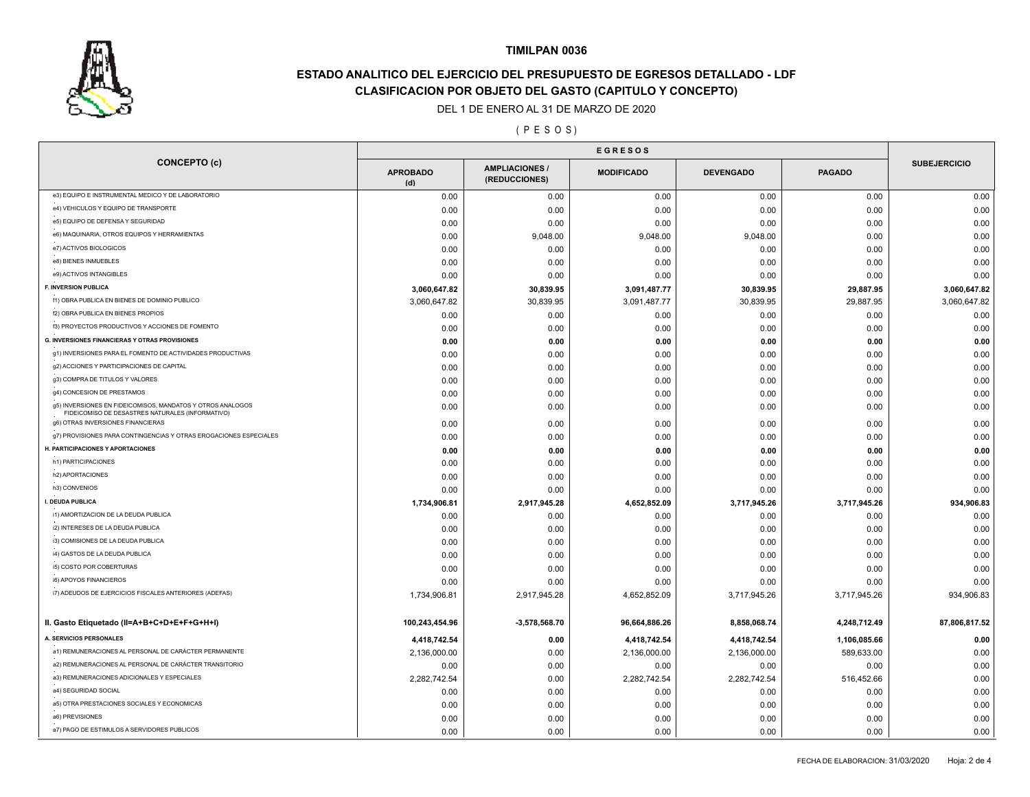

# **ESTADO ANALITICO DEL EJERCICIO DEL PRESUPUESTO DE EGRESOS DETALLADO - LDF CLASIFICACION POR OBJETO DEL GASTO (CAPITULO Y CONCEPTO)**

#### DEL 1 DE ENERO AL 31 DE MARZO DE 2020

### ( P E S O S )

| <b>SUBEJERCICIO</b><br><b>AMPLIACIONES</b><br><b>APROBADO</b><br><b>MODIFICADO</b><br><b>DEVENGADO</b><br><b>PAGADO</b><br>(REDUCCIONES)<br>(d)<br>e3) EQUIPO E INSTRUMENTAL MEDICO Y DE LABORATORIO<br>0.00<br>0.00<br>0.00<br>0.00<br>0.00<br>e4) VEHICULOS Y EQUIPO DE TRANSPORTE<br>0.00<br>0.00<br>0.00<br>0.00<br>0.00<br>e5) EQUIPO DE DEFENSA Y SEGURIDAD<br>0.00<br>0.00<br>0.00<br>0.00<br>0.00<br>e6) MAQUINARIA, OTROS EQUIPOS Y HERRAMIENTAS<br>9,048.00<br>9,048.00<br>9,048.00<br>0.00<br>0.00<br>e7) ACTIVOS BIOLOGICOS<br>0.00<br>0.00<br>0.00<br>0.00<br>0.00<br>e8) BIENES INMUEBLES<br>0.00<br>0.00<br>0.00<br>0.00<br>0.00<br>e9) ACTIVOS INTANGIBLES<br>0.00<br>0.00<br>0.00<br>0.00<br>0.00<br>F. INVERSION PUBLICA<br>3,060,647.82<br>30,839.95<br>3,091,487.77<br>30,839.95<br>29,887.95<br>f1) OBRA PUBLICA EN BIENES DE DOMINIO PUBLICO<br>3,091,487.77<br>30,839.95<br>29,887.95<br>3,060,647.82<br>30,839.95<br>3,060,647.82<br>f2) OBRA PUBLICA EN BIENES PROPIOS<br>0.00<br>0.00<br>0.00<br>0.00<br>0.00<br>f3) PROYECTOS PRODUCTIVOS Y ACCIONES DE FOMENTO<br>0.00<br>0.00<br>0.00<br>0.00<br>0.00<br>0.00<br><b>G. INVERSIONES FINANCIERAS Y OTRAS PROVISIONES</b><br>0.00<br>0.00<br>0.00<br>0.00<br>0.00<br>g1) INVERSIONES PARA EL FOMENTO DE ACTIVIDADES PRODUCTIVAS<br>0.00<br>0.00<br>0.00<br>0.00<br>0.00<br>g2) ACCIONES Y PARTICIPACIONES DE CAPITAL<br>0.00<br>0.00<br>0.00<br>0.00<br>0.00<br>g3) COMPRA DE TITULOS Y VALORES<br>0.00<br>0.00<br>0.00<br>0.00<br>0.00<br>0.00<br>g4) CONCESION DE PRESTAMOS<br>0.00<br>0.00<br>0.00<br>0.00<br>0.00<br>0.00<br>g5) INVERSIONES EN FIDEICOMISOS, MANDATOS Y OTROS ANALOGOS<br>0.00<br>0.00<br>0.00<br>0.00<br>0.00<br>FIDEICOMISO DE DESASTRES NATURALES (INFORMATIVO)<br>g6) OTRAS INVERSIONES FINANCIERAS<br>0.00<br>0.00<br>0.00<br>0.00<br>0.00<br>g7) PROVISIONES PARA CONTINGENCIAS Y OTRAS EROGACIONES ESPECIALES<br>0.00<br>0.00<br>0.00<br>0.00<br>0.00<br>H. PARTICIPACIONES Y APORTACIONES<br>0.00<br>0.00<br>0.00<br>0.00<br>0.00<br>h1) PARTICIPACIONES<br>0.00<br>0.00<br>0.00<br>0.00<br>0.00<br>h2) APORTACIONES<br>0.00<br>0.00<br>0.00<br>0.00<br>0.00<br>h3) CONVENIOS<br>0.00<br>0.00<br>0.00<br>0.00<br>0.00<br>I. DEUDA PUBLICA<br>4,652,852.09<br>1,734,906.81<br>2,917,945.28<br>3,717,945.26<br>3,717,945.26<br>i1) AMORTIZACION DE LA DEUDA PUBLICA<br>0.00<br>0.00<br>0.00<br>0.00<br>0.00<br>i2) INTERESES DE LA DEUDA PUBLICA<br>0.00<br>0.00<br>0.00<br>0.00<br>0.00<br>i3) COMISIONES DE LA DEUDA PUBLICA<br>0.00<br>0.00<br>0.00<br>0.00<br>0.00<br>i4) GASTOS DE LA DEUDA PUBLICA<br>0.00<br>0.00<br>0.00<br>0.00<br>0.00<br>i5) COSTO POR COBERTURAS<br>0.00<br>0.00<br>0.00<br>0.00<br>0.00<br>i6) APOYOS FINANCIEROS<br>0.00<br>0.00<br>0.00<br>0.00<br>0.00<br>i7) ADEUDOS DE EJERCICIOS FISCALES ANTERIORES (ADEFAS)<br>4,652,852.09<br>1,734,906.81<br>2,917,945.28<br>3,717,945.26<br>3,717,945.26<br>II. Gasto Etiquetado (II=A+B+C+D+E+F+G+H+I)<br>100,243,454.96<br>$-3,578,568.70$<br>96,664,886.26<br>8,858,068.74<br>4,248,712.49<br>A. SERVICIOS PERSONALES<br>4,418,742.54<br>4,418,742.54<br>4,418,742.54<br>1,106,085.66<br>0.00<br>a1) REMUNERACIONES AL PERSONAL DE CARÁCTER PERMANENTE<br>2,136,000.00<br>2,136,000.00<br>589,633.00<br>0.00<br>2,136,000.00<br>0.00<br>a2) REMUNERACIONES AL PERSONAL DE CARÁCTER TRANSITORIO<br>0.00<br>0.00<br>0.00<br>0.00<br>0.00<br>0.00<br>a3) REMUNERACIONES ADICIONALES Y ESPECIALES<br>2,282,742.54<br>516,452.66<br>2,282,742.54<br>0.00<br>2,282,742.54<br>0.00<br>a4) SEGURIDAD SOCIAL<br>0.00<br>0.00<br>0.00<br>0.00<br>0.00<br>0.00<br>a5) OTRA PRESTACIONES SOCIALES Y ECONOMICAS<br>0.00<br>0.00<br>0.00<br>0.00<br>0.00<br>0.00<br>a6) PREVISIONES<br>0.00<br>0.00<br>0.00<br>0.00<br>0.00<br>0.00 |                                             |      | <b>EGRESOS</b> |      |      |      |               |
|-------------------------------------------------------------------------------------------------------------------------------------------------------------------------------------------------------------------------------------------------------------------------------------------------------------------------------------------------------------------------------------------------------------------------------------------------------------------------------------------------------------------------------------------------------------------------------------------------------------------------------------------------------------------------------------------------------------------------------------------------------------------------------------------------------------------------------------------------------------------------------------------------------------------------------------------------------------------------------------------------------------------------------------------------------------------------------------------------------------------------------------------------------------------------------------------------------------------------------------------------------------------------------------------------------------------------------------------------------------------------------------------------------------------------------------------------------------------------------------------------------------------------------------------------------------------------------------------------------------------------------------------------------------------------------------------------------------------------------------------------------------------------------------------------------------------------------------------------------------------------------------------------------------------------------------------------------------------------------------------------------------------------------------------------------------------------------------------------------------------------------------------------------------------------------------------------------------------------------------------------------------------------------------------------------------------------------------------------------------------------------------------------------------------------------------------------------------------------------------------------------------------------------------------------------------------------------------------------------------------------------------------------------------------------------------------------------------------------------------------------------------------------------------------------------------------------------------------------------------------------------------------------------------------------------------------------------------------------------------------------------------------------------------------------------------------------------------------------------------------------------------------------------------------------------------------------------------------------------------------------------------------------------------------------------------------------------------------------------------------------------------------------------------------------------------------------------------------------------------------------------------------------------------------------------------------------------------------------------------------------------------------------------------------------------------------------------------------------------------------------------------------------------------------------------|---------------------------------------------|------|----------------|------|------|------|---------------|
|                                                                                                                                                                                                                                                                                                                                                                                                                                                                                                                                                                                                                                                                                                                                                                                                                                                                                                                                                                                                                                                                                                                                                                                                                                                                                                                                                                                                                                                                                                                                                                                                                                                                                                                                                                                                                                                                                                                                                                                                                                                                                                                                                                                                                                                                                                                                                                                                                                                                                                                                                                                                                                                                                                                                                                                                                                                                                                                                                                                                                                                                                                                                                                                                                                                                                                                                                                                                                                                                                                                                                                                                                                                                                                                                                                                                       | <b>CONCEPTO (c)</b>                         |      |                |      |      |      |               |
|                                                                                                                                                                                                                                                                                                                                                                                                                                                                                                                                                                                                                                                                                                                                                                                                                                                                                                                                                                                                                                                                                                                                                                                                                                                                                                                                                                                                                                                                                                                                                                                                                                                                                                                                                                                                                                                                                                                                                                                                                                                                                                                                                                                                                                                                                                                                                                                                                                                                                                                                                                                                                                                                                                                                                                                                                                                                                                                                                                                                                                                                                                                                                                                                                                                                                                                                                                                                                                                                                                                                                                                                                                                                                                                                                                                                       |                                             |      |                |      |      |      | 0.00          |
|                                                                                                                                                                                                                                                                                                                                                                                                                                                                                                                                                                                                                                                                                                                                                                                                                                                                                                                                                                                                                                                                                                                                                                                                                                                                                                                                                                                                                                                                                                                                                                                                                                                                                                                                                                                                                                                                                                                                                                                                                                                                                                                                                                                                                                                                                                                                                                                                                                                                                                                                                                                                                                                                                                                                                                                                                                                                                                                                                                                                                                                                                                                                                                                                                                                                                                                                                                                                                                                                                                                                                                                                                                                                                                                                                                                                       |                                             |      |                |      |      |      | 0.00          |
|                                                                                                                                                                                                                                                                                                                                                                                                                                                                                                                                                                                                                                                                                                                                                                                                                                                                                                                                                                                                                                                                                                                                                                                                                                                                                                                                                                                                                                                                                                                                                                                                                                                                                                                                                                                                                                                                                                                                                                                                                                                                                                                                                                                                                                                                                                                                                                                                                                                                                                                                                                                                                                                                                                                                                                                                                                                                                                                                                                                                                                                                                                                                                                                                                                                                                                                                                                                                                                                                                                                                                                                                                                                                                                                                                                                                       |                                             |      |                |      |      |      | 0.00          |
|                                                                                                                                                                                                                                                                                                                                                                                                                                                                                                                                                                                                                                                                                                                                                                                                                                                                                                                                                                                                                                                                                                                                                                                                                                                                                                                                                                                                                                                                                                                                                                                                                                                                                                                                                                                                                                                                                                                                                                                                                                                                                                                                                                                                                                                                                                                                                                                                                                                                                                                                                                                                                                                                                                                                                                                                                                                                                                                                                                                                                                                                                                                                                                                                                                                                                                                                                                                                                                                                                                                                                                                                                                                                                                                                                                                                       |                                             |      |                |      |      |      | 0.00          |
|                                                                                                                                                                                                                                                                                                                                                                                                                                                                                                                                                                                                                                                                                                                                                                                                                                                                                                                                                                                                                                                                                                                                                                                                                                                                                                                                                                                                                                                                                                                                                                                                                                                                                                                                                                                                                                                                                                                                                                                                                                                                                                                                                                                                                                                                                                                                                                                                                                                                                                                                                                                                                                                                                                                                                                                                                                                                                                                                                                                                                                                                                                                                                                                                                                                                                                                                                                                                                                                                                                                                                                                                                                                                                                                                                                                                       |                                             |      |                |      |      |      | 0.00          |
|                                                                                                                                                                                                                                                                                                                                                                                                                                                                                                                                                                                                                                                                                                                                                                                                                                                                                                                                                                                                                                                                                                                                                                                                                                                                                                                                                                                                                                                                                                                                                                                                                                                                                                                                                                                                                                                                                                                                                                                                                                                                                                                                                                                                                                                                                                                                                                                                                                                                                                                                                                                                                                                                                                                                                                                                                                                                                                                                                                                                                                                                                                                                                                                                                                                                                                                                                                                                                                                                                                                                                                                                                                                                                                                                                                                                       |                                             |      |                |      |      |      | 0.00          |
|                                                                                                                                                                                                                                                                                                                                                                                                                                                                                                                                                                                                                                                                                                                                                                                                                                                                                                                                                                                                                                                                                                                                                                                                                                                                                                                                                                                                                                                                                                                                                                                                                                                                                                                                                                                                                                                                                                                                                                                                                                                                                                                                                                                                                                                                                                                                                                                                                                                                                                                                                                                                                                                                                                                                                                                                                                                                                                                                                                                                                                                                                                                                                                                                                                                                                                                                                                                                                                                                                                                                                                                                                                                                                                                                                                                                       |                                             |      |                |      |      |      | 0.00          |
|                                                                                                                                                                                                                                                                                                                                                                                                                                                                                                                                                                                                                                                                                                                                                                                                                                                                                                                                                                                                                                                                                                                                                                                                                                                                                                                                                                                                                                                                                                                                                                                                                                                                                                                                                                                                                                                                                                                                                                                                                                                                                                                                                                                                                                                                                                                                                                                                                                                                                                                                                                                                                                                                                                                                                                                                                                                                                                                                                                                                                                                                                                                                                                                                                                                                                                                                                                                                                                                                                                                                                                                                                                                                                                                                                                                                       |                                             |      |                |      |      |      | 3,060,647.82  |
|                                                                                                                                                                                                                                                                                                                                                                                                                                                                                                                                                                                                                                                                                                                                                                                                                                                                                                                                                                                                                                                                                                                                                                                                                                                                                                                                                                                                                                                                                                                                                                                                                                                                                                                                                                                                                                                                                                                                                                                                                                                                                                                                                                                                                                                                                                                                                                                                                                                                                                                                                                                                                                                                                                                                                                                                                                                                                                                                                                                                                                                                                                                                                                                                                                                                                                                                                                                                                                                                                                                                                                                                                                                                                                                                                                                                       |                                             |      |                |      |      |      |               |
|                                                                                                                                                                                                                                                                                                                                                                                                                                                                                                                                                                                                                                                                                                                                                                                                                                                                                                                                                                                                                                                                                                                                                                                                                                                                                                                                                                                                                                                                                                                                                                                                                                                                                                                                                                                                                                                                                                                                                                                                                                                                                                                                                                                                                                                                                                                                                                                                                                                                                                                                                                                                                                                                                                                                                                                                                                                                                                                                                                                                                                                                                                                                                                                                                                                                                                                                                                                                                                                                                                                                                                                                                                                                                                                                                                                                       |                                             |      |                |      |      |      | 0.00          |
|                                                                                                                                                                                                                                                                                                                                                                                                                                                                                                                                                                                                                                                                                                                                                                                                                                                                                                                                                                                                                                                                                                                                                                                                                                                                                                                                                                                                                                                                                                                                                                                                                                                                                                                                                                                                                                                                                                                                                                                                                                                                                                                                                                                                                                                                                                                                                                                                                                                                                                                                                                                                                                                                                                                                                                                                                                                                                                                                                                                                                                                                                                                                                                                                                                                                                                                                                                                                                                                                                                                                                                                                                                                                                                                                                                                                       |                                             |      |                |      |      |      |               |
|                                                                                                                                                                                                                                                                                                                                                                                                                                                                                                                                                                                                                                                                                                                                                                                                                                                                                                                                                                                                                                                                                                                                                                                                                                                                                                                                                                                                                                                                                                                                                                                                                                                                                                                                                                                                                                                                                                                                                                                                                                                                                                                                                                                                                                                                                                                                                                                                                                                                                                                                                                                                                                                                                                                                                                                                                                                                                                                                                                                                                                                                                                                                                                                                                                                                                                                                                                                                                                                                                                                                                                                                                                                                                                                                                                                                       |                                             |      |                |      |      |      | 0.00          |
|                                                                                                                                                                                                                                                                                                                                                                                                                                                                                                                                                                                                                                                                                                                                                                                                                                                                                                                                                                                                                                                                                                                                                                                                                                                                                                                                                                                                                                                                                                                                                                                                                                                                                                                                                                                                                                                                                                                                                                                                                                                                                                                                                                                                                                                                                                                                                                                                                                                                                                                                                                                                                                                                                                                                                                                                                                                                                                                                                                                                                                                                                                                                                                                                                                                                                                                                                                                                                                                                                                                                                                                                                                                                                                                                                                                                       |                                             |      |                |      |      |      | 0.00          |
|                                                                                                                                                                                                                                                                                                                                                                                                                                                                                                                                                                                                                                                                                                                                                                                                                                                                                                                                                                                                                                                                                                                                                                                                                                                                                                                                                                                                                                                                                                                                                                                                                                                                                                                                                                                                                                                                                                                                                                                                                                                                                                                                                                                                                                                                                                                                                                                                                                                                                                                                                                                                                                                                                                                                                                                                                                                                                                                                                                                                                                                                                                                                                                                                                                                                                                                                                                                                                                                                                                                                                                                                                                                                                                                                                                                                       |                                             |      |                |      |      |      | 0.00          |
|                                                                                                                                                                                                                                                                                                                                                                                                                                                                                                                                                                                                                                                                                                                                                                                                                                                                                                                                                                                                                                                                                                                                                                                                                                                                                                                                                                                                                                                                                                                                                                                                                                                                                                                                                                                                                                                                                                                                                                                                                                                                                                                                                                                                                                                                                                                                                                                                                                                                                                                                                                                                                                                                                                                                                                                                                                                                                                                                                                                                                                                                                                                                                                                                                                                                                                                                                                                                                                                                                                                                                                                                                                                                                                                                                                                                       |                                             |      |                |      |      |      |               |
|                                                                                                                                                                                                                                                                                                                                                                                                                                                                                                                                                                                                                                                                                                                                                                                                                                                                                                                                                                                                                                                                                                                                                                                                                                                                                                                                                                                                                                                                                                                                                                                                                                                                                                                                                                                                                                                                                                                                                                                                                                                                                                                                                                                                                                                                                                                                                                                                                                                                                                                                                                                                                                                                                                                                                                                                                                                                                                                                                                                                                                                                                                                                                                                                                                                                                                                                                                                                                                                                                                                                                                                                                                                                                                                                                                                                       |                                             |      |                |      |      |      |               |
|                                                                                                                                                                                                                                                                                                                                                                                                                                                                                                                                                                                                                                                                                                                                                                                                                                                                                                                                                                                                                                                                                                                                                                                                                                                                                                                                                                                                                                                                                                                                                                                                                                                                                                                                                                                                                                                                                                                                                                                                                                                                                                                                                                                                                                                                                                                                                                                                                                                                                                                                                                                                                                                                                                                                                                                                                                                                                                                                                                                                                                                                                                                                                                                                                                                                                                                                                                                                                                                                                                                                                                                                                                                                                                                                                                                                       |                                             |      |                |      |      |      | 0.00          |
|                                                                                                                                                                                                                                                                                                                                                                                                                                                                                                                                                                                                                                                                                                                                                                                                                                                                                                                                                                                                                                                                                                                                                                                                                                                                                                                                                                                                                                                                                                                                                                                                                                                                                                                                                                                                                                                                                                                                                                                                                                                                                                                                                                                                                                                                                                                                                                                                                                                                                                                                                                                                                                                                                                                                                                                                                                                                                                                                                                                                                                                                                                                                                                                                                                                                                                                                                                                                                                                                                                                                                                                                                                                                                                                                                                                                       |                                             |      |                |      |      |      | 0.00          |
|                                                                                                                                                                                                                                                                                                                                                                                                                                                                                                                                                                                                                                                                                                                                                                                                                                                                                                                                                                                                                                                                                                                                                                                                                                                                                                                                                                                                                                                                                                                                                                                                                                                                                                                                                                                                                                                                                                                                                                                                                                                                                                                                                                                                                                                                                                                                                                                                                                                                                                                                                                                                                                                                                                                                                                                                                                                                                                                                                                                                                                                                                                                                                                                                                                                                                                                                                                                                                                                                                                                                                                                                                                                                                                                                                                                                       |                                             |      |                |      |      |      | 0.00          |
|                                                                                                                                                                                                                                                                                                                                                                                                                                                                                                                                                                                                                                                                                                                                                                                                                                                                                                                                                                                                                                                                                                                                                                                                                                                                                                                                                                                                                                                                                                                                                                                                                                                                                                                                                                                                                                                                                                                                                                                                                                                                                                                                                                                                                                                                                                                                                                                                                                                                                                                                                                                                                                                                                                                                                                                                                                                                                                                                                                                                                                                                                                                                                                                                                                                                                                                                                                                                                                                                                                                                                                                                                                                                                                                                                                                                       |                                             |      |                |      |      |      | 0.00          |
|                                                                                                                                                                                                                                                                                                                                                                                                                                                                                                                                                                                                                                                                                                                                                                                                                                                                                                                                                                                                                                                                                                                                                                                                                                                                                                                                                                                                                                                                                                                                                                                                                                                                                                                                                                                                                                                                                                                                                                                                                                                                                                                                                                                                                                                                                                                                                                                                                                                                                                                                                                                                                                                                                                                                                                                                                                                                                                                                                                                                                                                                                                                                                                                                                                                                                                                                                                                                                                                                                                                                                                                                                                                                                                                                                                                                       |                                             |      |                |      |      |      | 0.00          |
|                                                                                                                                                                                                                                                                                                                                                                                                                                                                                                                                                                                                                                                                                                                                                                                                                                                                                                                                                                                                                                                                                                                                                                                                                                                                                                                                                                                                                                                                                                                                                                                                                                                                                                                                                                                                                                                                                                                                                                                                                                                                                                                                                                                                                                                                                                                                                                                                                                                                                                                                                                                                                                                                                                                                                                                                                                                                                                                                                                                                                                                                                                                                                                                                                                                                                                                                                                                                                                                                                                                                                                                                                                                                                                                                                                                                       |                                             |      |                |      |      |      | 0.00          |
|                                                                                                                                                                                                                                                                                                                                                                                                                                                                                                                                                                                                                                                                                                                                                                                                                                                                                                                                                                                                                                                                                                                                                                                                                                                                                                                                                                                                                                                                                                                                                                                                                                                                                                                                                                                                                                                                                                                                                                                                                                                                                                                                                                                                                                                                                                                                                                                                                                                                                                                                                                                                                                                                                                                                                                                                                                                                                                                                                                                                                                                                                                                                                                                                                                                                                                                                                                                                                                                                                                                                                                                                                                                                                                                                                                                                       |                                             |      |                |      |      |      | 0.00          |
|                                                                                                                                                                                                                                                                                                                                                                                                                                                                                                                                                                                                                                                                                                                                                                                                                                                                                                                                                                                                                                                                                                                                                                                                                                                                                                                                                                                                                                                                                                                                                                                                                                                                                                                                                                                                                                                                                                                                                                                                                                                                                                                                                                                                                                                                                                                                                                                                                                                                                                                                                                                                                                                                                                                                                                                                                                                                                                                                                                                                                                                                                                                                                                                                                                                                                                                                                                                                                                                                                                                                                                                                                                                                                                                                                                                                       |                                             |      |                |      |      |      | 934,906.83    |
|                                                                                                                                                                                                                                                                                                                                                                                                                                                                                                                                                                                                                                                                                                                                                                                                                                                                                                                                                                                                                                                                                                                                                                                                                                                                                                                                                                                                                                                                                                                                                                                                                                                                                                                                                                                                                                                                                                                                                                                                                                                                                                                                                                                                                                                                                                                                                                                                                                                                                                                                                                                                                                                                                                                                                                                                                                                                                                                                                                                                                                                                                                                                                                                                                                                                                                                                                                                                                                                                                                                                                                                                                                                                                                                                                                                                       |                                             |      |                |      |      |      | 0.00          |
|                                                                                                                                                                                                                                                                                                                                                                                                                                                                                                                                                                                                                                                                                                                                                                                                                                                                                                                                                                                                                                                                                                                                                                                                                                                                                                                                                                                                                                                                                                                                                                                                                                                                                                                                                                                                                                                                                                                                                                                                                                                                                                                                                                                                                                                                                                                                                                                                                                                                                                                                                                                                                                                                                                                                                                                                                                                                                                                                                                                                                                                                                                                                                                                                                                                                                                                                                                                                                                                                                                                                                                                                                                                                                                                                                                                                       |                                             |      |                |      |      |      | 0.00          |
|                                                                                                                                                                                                                                                                                                                                                                                                                                                                                                                                                                                                                                                                                                                                                                                                                                                                                                                                                                                                                                                                                                                                                                                                                                                                                                                                                                                                                                                                                                                                                                                                                                                                                                                                                                                                                                                                                                                                                                                                                                                                                                                                                                                                                                                                                                                                                                                                                                                                                                                                                                                                                                                                                                                                                                                                                                                                                                                                                                                                                                                                                                                                                                                                                                                                                                                                                                                                                                                                                                                                                                                                                                                                                                                                                                                                       |                                             |      |                |      |      |      | 0.00          |
|                                                                                                                                                                                                                                                                                                                                                                                                                                                                                                                                                                                                                                                                                                                                                                                                                                                                                                                                                                                                                                                                                                                                                                                                                                                                                                                                                                                                                                                                                                                                                                                                                                                                                                                                                                                                                                                                                                                                                                                                                                                                                                                                                                                                                                                                                                                                                                                                                                                                                                                                                                                                                                                                                                                                                                                                                                                                                                                                                                                                                                                                                                                                                                                                                                                                                                                                                                                                                                                                                                                                                                                                                                                                                                                                                                                                       |                                             |      |                |      |      |      | 0.00          |
|                                                                                                                                                                                                                                                                                                                                                                                                                                                                                                                                                                                                                                                                                                                                                                                                                                                                                                                                                                                                                                                                                                                                                                                                                                                                                                                                                                                                                                                                                                                                                                                                                                                                                                                                                                                                                                                                                                                                                                                                                                                                                                                                                                                                                                                                                                                                                                                                                                                                                                                                                                                                                                                                                                                                                                                                                                                                                                                                                                                                                                                                                                                                                                                                                                                                                                                                                                                                                                                                                                                                                                                                                                                                                                                                                                                                       |                                             |      |                |      |      |      | 0.00          |
|                                                                                                                                                                                                                                                                                                                                                                                                                                                                                                                                                                                                                                                                                                                                                                                                                                                                                                                                                                                                                                                                                                                                                                                                                                                                                                                                                                                                                                                                                                                                                                                                                                                                                                                                                                                                                                                                                                                                                                                                                                                                                                                                                                                                                                                                                                                                                                                                                                                                                                                                                                                                                                                                                                                                                                                                                                                                                                                                                                                                                                                                                                                                                                                                                                                                                                                                                                                                                                                                                                                                                                                                                                                                                                                                                                                                       |                                             |      |                |      |      |      | 0.00          |
|                                                                                                                                                                                                                                                                                                                                                                                                                                                                                                                                                                                                                                                                                                                                                                                                                                                                                                                                                                                                                                                                                                                                                                                                                                                                                                                                                                                                                                                                                                                                                                                                                                                                                                                                                                                                                                                                                                                                                                                                                                                                                                                                                                                                                                                                                                                                                                                                                                                                                                                                                                                                                                                                                                                                                                                                                                                                                                                                                                                                                                                                                                                                                                                                                                                                                                                                                                                                                                                                                                                                                                                                                                                                                                                                                                                                       |                                             |      |                |      |      |      | 934,906.83    |
|                                                                                                                                                                                                                                                                                                                                                                                                                                                                                                                                                                                                                                                                                                                                                                                                                                                                                                                                                                                                                                                                                                                                                                                                                                                                                                                                                                                                                                                                                                                                                                                                                                                                                                                                                                                                                                                                                                                                                                                                                                                                                                                                                                                                                                                                                                                                                                                                                                                                                                                                                                                                                                                                                                                                                                                                                                                                                                                                                                                                                                                                                                                                                                                                                                                                                                                                                                                                                                                                                                                                                                                                                                                                                                                                                                                                       |                                             |      |                |      |      |      | 87,806,817.52 |
|                                                                                                                                                                                                                                                                                                                                                                                                                                                                                                                                                                                                                                                                                                                                                                                                                                                                                                                                                                                                                                                                                                                                                                                                                                                                                                                                                                                                                                                                                                                                                                                                                                                                                                                                                                                                                                                                                                                                                                                                                                                                                                                                                                                                                                                                                                                                                                                                                                                                                                                                                                                                                                                                                                                                                                                                                                                                                                                                                                                                                                                                                                                                                                                                                                                                                                                                                                                                                                                                                                                                                                                                                                                                                                                                                                                                       |                                             |      |                |      |      |      | 0.00          |
|                                                                                                                                                                                                                                                                                                                                                                                                                                                                                                                                                                                                                                                                                                                                                                                                                                                                                                                                                                                                                                                                                                                                                                                                                                                                                                                                                                                                                                                                                                                                                                                                                                                                                                                                                                                                                                                                                                                                                                                                                                                                                                                                                                                                                                                                                                                                                                                                                                                                                                                                                                                                                                                                                                                                                                                                                                                                                                                                                                                                                                                                                                                                                                                                                                                                                                                                                                                                                                                                                                                                                                                                                                                                                                                                                                                                       |                                             |      |                |      |      |      |               |
|                                                                                                                                                                                                                                                                                                                                                                                                                                                                                                                                                                                                                                                                                                                                                                                                                                                                                                                                                                                                                                                                                                                                                                                                                                                                                                                                                                                                                                                                                                                                                                                                                                                                                                                                                                                                                                                                                                                                                                                                                                                                                                                                                                                                                                                                                                                                                                                                                                                                                                                                                                                                                                                                                                                                                                                                                                                                                                                                                                                                                                                                                                                                                                                                                                                                                                                                                                                                                                                                                                                                                                                                                                                                                                                                                                                                       |                                             |      |                |      |      |      |               |
|                                                                                                                                                                                                                                                                                                                                                                                                                                                                                                                                                                                                                                                                                                                                                                                                                                                                                                                                                                                                                                                                                                                                                                                                                                                                                                                                                                                                                                                                                                                                                                                                                                                                                                                                                                                                                                                                                                                                                                                                                                                                                                                                                                                                                                                                                                                                                                                                                                                                                                                                                                                                                                                                                                                                                                                                                                                                                                                                                                                                                                                                                                                                                                                                                                                                                                                                                                                                                                                                                                                                                                                                                                                                                                                                                                                                       |                                             |      |                |      |      |      |               |
|                                                                                                                                                                                                                                                                                                                                                                                                                                                                                                                                                                                                                                                                                                                                                                                                                                                                                                                                                                                                                                                                                                                                                                                                                                                                                                                                                                                                                                                                                                                                                                                                                                                                                                                                                                                                                                                                                                                                                                                                                                                                                                                                                                                                                                                                                                                                                                                                                                                                                                                                                                                                                                                                                                                                                                                                                                                                                                                                                                                                                                                                                                                                                                                                                                                                                                                                                                                                                                                                                                                                                                                                                                                                                                                                                                                                       |                                             |      |                |      |      |      |               |
|                                                                                                                                                                                                                                                                                                                                                                                                                                                                                                                                                                                                                                                                                                                                                                                                                                                                                                                                                                                                                                                                                                                                                                                                                                                                                                                                                                                                                                                                                                                                                                                                                                                                                                                                                                                                                                                                                                                                                                                                                                                                                                                                                                                                                                                                                                                                                                                                                                                                                                                                                                                                                                                                                                                                                                                                                                                                                                                                                                                                                                                                                                                                                                                                                                                                                                                                                                                                                                                                                                                                                                                                                                                                                                                                                                                                       |                                             |      |                |      |      |      |               |
|                                                                                                                                                                                                                                                                                                                                                                                                                                                                                                                                                                                                                                                                                                                                                                                                                                                                                                                                                                                                                                                                                                                                                                                                                                                                                                                                                                                                                                                                                                                                                                                                                                                                                                                                                                                                                                                                                                                                                                                                                                                                                                                                                                                                                                                                                                                                                                                                                                                                                                                                                                                                                                                                                                                                                                                                                                                                                                                                                                                                                                                                                                                                                                                                                                                                                                                                                                                                                                                                                                                                                                                                                                                                                                                                                                                                       |                                             |      |                |      |      |      |               |
|                                                                                                                                                                                                                                                                                                                                                                                                                                                                                                                                                                                                                                                                                                                                                                                                                                                                                                                                                                                                                                                                                                                                                                                                                                                                                                                                                                                                                                                                                                                                                                                                                                                                                                                                                                                                                                                                                                                                                                                                                                                                                                                                                                                                                                                                                                                                                                                                                                                                                                                                                                                                                                                                                                                                                                                                                                                                                                                                                                                                                                                                                                                                                                                                                                                                                                                                                                                                                                                                                                                                                                                                                                                                                                                                                                                                       | a7) PAGO DE ESTIMULOS A SERVIDORES PUBLICOS | 0.00 | 0.00           | 0.00 | 0.00 | 0.00 | 0.00          |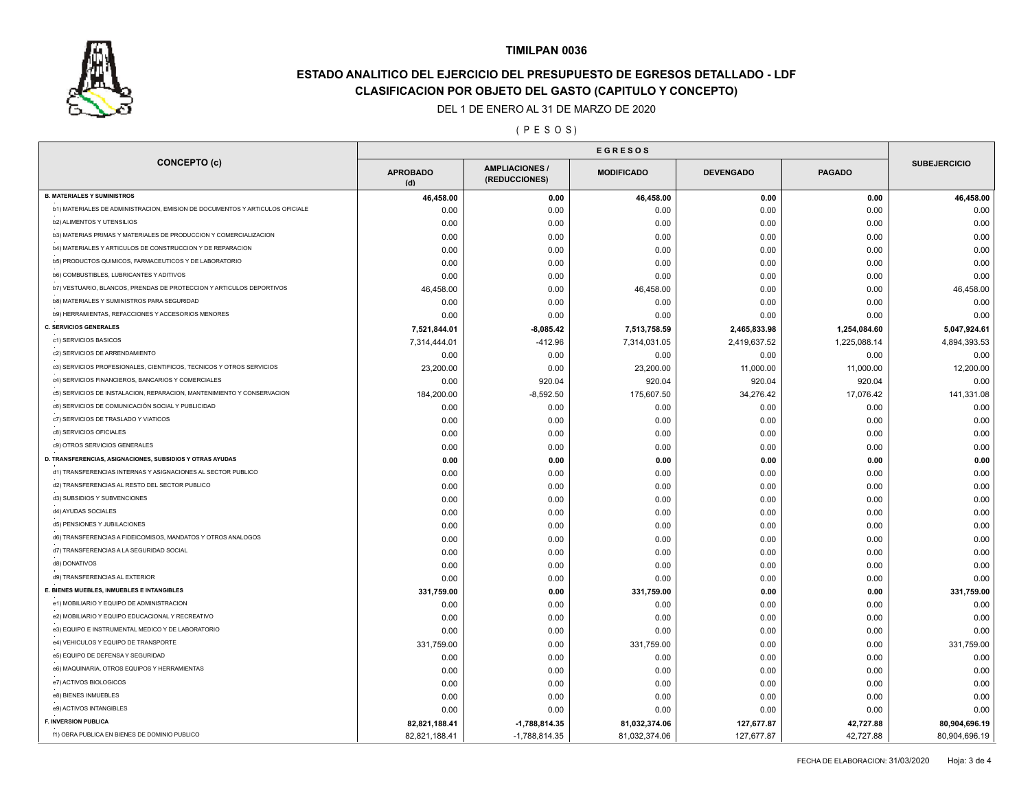

# **ESTADO ANALITICO DEL EJERCICIO DEL PRESUPUESTO DE EGRESOS DETALLADO - LDF CLASIFICACION POR OBJETO DEL GASTO (CAPITULO Y CONCEPTO)**

#### DEL 1 DE ENERO AL 31 DE MARZO DE 2020

( P E S O S )

|                                                                              | <b>EGRESOS</b>         |                                      |                   |                  |               |                     |
|------------------------------------------------------------------------------|------------------------|--------------------------------------|-------------------|------------------|---------------|---------------------|
| <b>CONCEPTO (c)</b>                                                          | <b>APROBADO</b><br>(d) | <b>AMPLIACIONES</b><br>(REDUCCIONES) | <b>MODIFICADO</b> | <b>DEVENGADO</b> | <b>PAGADO</b> | <b>SUBEJERCICIO</b> |
| <b>B. MATERIALES Y SUMINISTROS</b>                                           | 46,458.00              | 0.00                                 | 46,458.00         | 0.00             | 0.00          | 46,458.00           |
| b1) MATERIALES DE ADMINISTRACION, EMISION DE DOCUMENTOS Y ARTICULOS OFICIALE | 0.00                   | 0.00                                 | 0.00              | 0.00             | 0.00          | 0.00                |
| <b>b2) ALIMENTOS Y UTENSILIOS</b>                                            | 0.00                   | 0.00                                 | 0.00              | 0.00             | 0.00          | 0.00                |
| b3) MATERIAS PRIMAS Y MATERIALES DE PRODUCCION Y COMERCIALIZACION            | 0.00                   | 0.00                                 | 0.00              | 0.00             | 0.00          | 0.00                |
| b4) MATERIALES Y ARTICULOS DE CONSTRUCCION Y DE REPARACION                   | 0.00                   | 0.00                                 | 0.00              | 0.00             | 0.00          | 0.00                |
| b5) PRODUCTOS QUIMICOS, FARMACEUTICOS Y DE LABORATORIO                       | 0.00                   | 0.00                                 | 0.00              | 0.00             | 0.00          | 0.00                |
| b6) COMBUSTIBLES, LUBRICANTES Y ADITIVOS                                     | 0.00                   | 0.00                                 | 0.00              | 0.00             | 0.00          | 0.00                |
| b7) VESTUARIO, BLANCOS, PRENDAS DE PROTECCION Y ARTICULOS DEPORTIVOS         | 46,458.00              | 0.00                                 | 46,458.00         | 0.00             | 0.00          | 46,458.00           |
| b8) MATERIALES Y SUMINISTROS PARA SEGURIDAD                                  | 0.00                   | 0.00                                 | 0.00              | 0.00             | 0.00          | 0.00                |
| b9) HERRAMIENTAS, REFACCIONES Y ACCESORIOS MENORES                           | 0.00                   | 0.00                                 | 0.00              | 0.00             | 0.00          | 0.00                |
| <b>C. SERVICIOS GENERALES</b>                                                | 7,521,844.01           | $-8,085.42$                          | 7,513,758.59      | 2,465,833.98     | 1,254,084.60  | 5,047,924.61        |
| c1) SERVICIOS BASICOS                                                        | 7,314,444.01           | -412.96                              | 7,314,031.05      | 2,419,637.52     | 1,225,088.14  | 4,894,393.53        |
| c2) SERVICIOS DE ARRENDAMIENTO                                               | 0.00                   | 0.00                                 | 0.00              | 0.00             | 0.00          | 0.00                |
| c3) SERVICIOS PROFESIONALES, CIENTIFICOS, TECNICOS Y OTROS SERVICIOS         | 23,200.00              | 0.00                                 | 23,200.00         | 11,000.00        | 11,000.00     | 12,200.00           |
| c4) SERVICIOS FINANCIEROS, BANCARIOS Y COMERCIALES                           | 0.00                   | 920.04                               | 920.04            | 920.04           | 920.04        | 0.00                |
| c5) SERVICIOS DE INSTALACION, REPARACION, MANTENIMIENTO Y CONSERVACION       | 184,200.00             | $-8,592.50$                          | 175,607.50        | 34,276.42        | 17,076.42     | 141,331.08          |
| c6) SERVICIOS DE COMUNICACIÓN SOCIAL Y PUBLICIDAD                            | 0.00                   | 0.00                                 | 0.00              | 0.00             | 0.00          | 0.00                |
| c7) SERVICIOS DE TRASLADO Y VIATICOS                                         | 0.00                   | 0.00                                 | 0.00              | 0.00             | 0.00          | 0.00                |
| c8) SERVICIOS OFICIALES                                                      | 0.00                   | 0.00                                 | 0.00              | 0.00             | 0.00          | 0.00                |
| c9) OTROS SERVICIOS GENERALES                                                | 0.00                   | 0.00                                 | 0.00              | 0.00             | 0.00          | 0.00                |
| D. TRANSFERENCIAS, ASIGNACIONES, SUBSIDIOS Y OTRAS AYUDAS                    | 0.00                   | 0.00                                 | 0.00              | 0.00             | 0.00          | 0.00                |
| d1) TRANSFERENCIAS INTERNAS Y ASIGNACIONES AL SECTOR PUBLICO                 | 0.00                   | 0.00                                 | 0.00              | 0.00             | 0.00          | 0.00                |
| d2) TRANSFERENCIAS AL RESTO DEL SECTOR PUBLICO                               | 0.00                   | 0.00                                 | 0.00              | 0.00             | 0.00          | 0.00                |
| d3) SUBSIDIOS Y SUBVENCIONES                                                 | 0.00                   | 0.00                                 | 0.00              | 0.00             | 0.00          | 0.00                |
| d4) AYUDAS SOCIALES                                                          | 0.00                   | 0.00                                 | 0.00              | 0.00             | 0.00          | 0.00                |
| d5) PENSIONES Y JUBILACIONES                                                 | 0.00                   | 0.00                                 | 0.00              | 0.00             | 0.00          | 0.00                |
| d6) TRANSFERENCIAS A FIDEICOMISOS, MANDATOS Y OTROS ANALOGOS                 |                        |                                      |                   |                  | 0.00          | 0.00                |
| d7) TRANSFERENCIAS A LA SEGURIDAD SOCIAL                                     | 0.00                   | 0.00                                 | 0.00              | 0.00             |               |                     |
| d8) DONATIVOS                                                                | 0.00                   | 0.00                                 | 0.00              | 0.00             | 0.00          | 0.00                |
| d9) TRANSFERENCIAS AL EXTERIOR                                               | 0.00                   | 0.00                                 | 0.00              | 0.00             | 0.00          | 0.00                |
| E. BIENES MUEBLES, INMUEBLES E INTANGIBLES                                   | 0.00                   | 0.00                                 | 0.00              | 0.00             | 0.00          | 0.00                |
| e1) MOBILIARIO Y EQUIPO DE ADMINISTRACION                                    | 331,759.00             | 0.00                                 | 331,759.00        | 0.00             | 0.00          | 331,759.00          |
| e2) MOBILIARIO Y EQUIPO EDUCACIONAL Y RECREATIVO                             | 0.00                   | 0.00                                 | 0.00              | 0.00             | 0.00          | 0.00                |
| e3) EQUIPO E INSTRUMENTAL MEDICO Y DE LABORATORIO                            | 0.00                   | 0.00                                 | 0.00              | 0.00             | 0.00          | 0.00                |
| e4) VEHICULOS Y EQUIPO DE TRANSPORTE                                         | 0.00                   | 0.00                                 | 0.00              | 0.00             | 0.00          | 0.00                |
|                                                                              | 331,759.00             | 0.00                                 | 331,759.00        | 0.00             | 0.00          | 331,759.00          |
| e5) EQUIPO DE DEFENSA Y SEGURIDAD                                            | 0.00                   | 0.00                                 | 0.00              | 0.00             | 0.00          | 0.00                |
| e6) MAQUINARIA, OTROS EQUIPOS Y HERRAMIENTAS                                 | 0.00                   | 0.00                                 | 0.00              | 0.00             | 0.00          | 0.00                |
| e7) ACTIVOS BIOLOGICOS                                                       | 0.00                   | 0.00                                 | 0.00              | 0.00             | 0.00          | 0.00                |
| e8) BIENES INMUEBLES                                                         | 0.00                   | 0.00                                 | 0.00              | 0.00             | 0.00          | 0.00                |
| e9) ACTIVOS INTANGIBLES                                                      | 0.00                   | 0.00                                 | 0.00              | 0.00             | 0.00          | 0.00                |
| <b>F. INVERSION PUBLICA</b>                                                  | 82,821,188.41          | $-1,788,814.35$                      | 81,032,374.06     | 127,677.87       | 42,727.88     | 80,904,696.19       |
| f1) OBRA PUBLICA EN BIENES DE DOMINIO PUBLICO                                | 82,821,188.41          | -1,788,814.35                        | 81,032,374.06     | 127,677.87       | 42,727.88     | 80,904,696.19       |